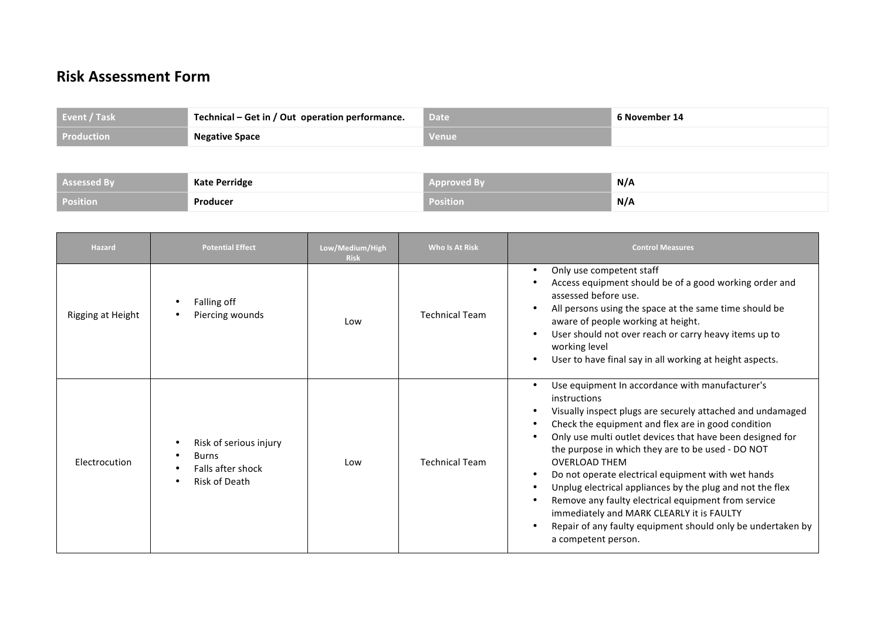## **Risk Assessment Form**

| Event / Task      | Technical – Get in / Out operation performance. | Date     | 6 November 14 |
|-------------------|-------------------------------------------------|----------|---------------|
| <b>Production</b> | <b>Negative Space</b>                           | l Venuel |               |

| Assessed By     | <b>Kate Perridge</b> | Approved B | ® N/A |
|-----------------|----------------------|------------|-------|
| <b>Position</b> | Producer             | Position   | N/A   |

| <b>Hazard</b>     | <b>Potential Effect</b>                                                      | Low/Medium/High<br><b>Risk</b> | <b>Who Is At Risk</b> | <b>Control Measures</b>                                                                                                                                                                                                                                                                                                                                                                                                                                                                                                                                                                                                                    |
|-------------------|------------------------------------------------------------------------------|--------------------------------|-----------------------|--------------------------------------------------------------------------------------------------------------------------------------------------------------------------------------------------------------------------------------------------------------------------------------------------------------------------------------------------------------------------------------------------------------------------------------------------------------------------------------------------------------------------------------------------------------------------------------------------------------------------------------------|
| Rigging at Height | Falling off<br>Piercing wounds                                               | Low                            | <b>Technical Team</b> | Only use competent staff<br>٠<br>Access equipment should be of a good working order and<br>assessed before use.<br>All persons using the space at the same time should be<br>aware of people working at height.<br>User should not over reach or carry heavy items up to<br>working level<br>User to have final say in all working at height aspects.                                                                                                                                                                                                                                                                                      |
| Electrocution     | Risk of serious injury<br><b>Burns</b><br>Falls after shock<br>Risk of Death | Low                            | <b>Technical Team</b> | Use equipment In accordance with manufacturer's<br>instructions<br>Visually inspect plugs are securely attached and undamaged<br>Check the equipment and flex are in good condition<br>Only use multi outlet devices that have been designed for<br>the purpose in which they are to be used - DO NOT<br><b>OVERLOAD THEM</b><br>Do not operate electrical equipment with wet hands<br>Unplug electrical appliances by the plug and not the flex<br>Remove any faulty electrical equipment from service<br>immediately and MARK CLEARLY it is FAULTY<br>Repair of any faulty equipment should only be undertaken by<br>a competent person. |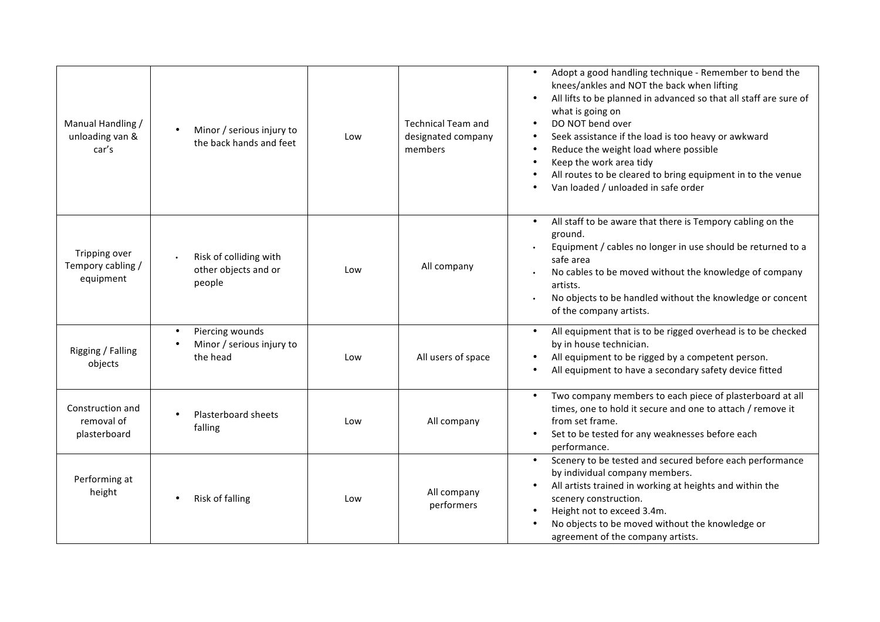| Manual Handling /<br>unloading van &<br>car's   | Minor / serious injury to<br>the back hands and feet     | Low | <b>Technical Team and</b><br>designated company<br>members | Adopt a good handling technique - Remember to bend the<br>knees/ankles and NOT the back when lifting<br>All lifts to be planned in advanced so that all staff are sure of<br>what is going on<br>DO NOT bend over<br>$\bullet$<br>Seek assistance if the load is too heavy or awkward<br>Reduce the weight load where possible<br>Keep the work area tidy<br>All routes to be cleared to bring equipment in to the venue<br>Van loaded / unloaded in safe order |
|-------------------------------------------------|----------------------------------------------------------|-----|------------------------------------------------------------|-----------------------------------------------------------------------------------------------------------------------------------------------------------------------------------------------------------------------------------------------------------------------------------------------------------------------------------------------------------------------------------------------------------------------------------------------------------------|
| Tripping over<br>Tempory cabling /<br>equipment | Risk of colliding with<br>other objects and or<br>people | Low | All company                                                | All staff to be aware that there is Tempory cabling on the<br>ground.<br>Equipment / cables no longer in use should be returned to a<br>safe area<br>No cables to be moved without the knowledge of company<br>artists.<br>No objects to be handled without the knowledge or concent<br>of the company artists.                                                                                                                                                 |
| Rigging / Falling<br>objects                    | Piercing wounds<br>Minor / serious injury to<br>the head | Low | All users of space                                         | All equipment that is to be rigged overhead is to be checked<br>$\bullet$<br>by in house technician.<br>All equipment to be rigged by a competent person.<br>All equipment to have a secondary safety device fitted                                                                                                                                                                                                                                             |
| Construction and<br>removal of<br>plasterboard  | Plasterboard sheets<br>falling                           | Low | All company                                                | Two company members to each piece of plasterboard at all<br>$\bullet$<br>times, one to hold it secure and one to attach / remove it<br>from set frame.<br>Set to be tested for any weaknesses before each<br>performance.                                                                                                                                                                                                                                       |
| Performing at<br>height                         | Risk of falling                                          | Low | All company<br>performers                                  | Scenery to be tested and secured before each performance<br>by individual company members.<br>All artists trained in working at heights and within the<br>scenery construction.<br>Height not to exceed 3.4m.<br>No objects to be moved without the knowledge or<br>agreement of the company artists.                                                                                                                                                           |